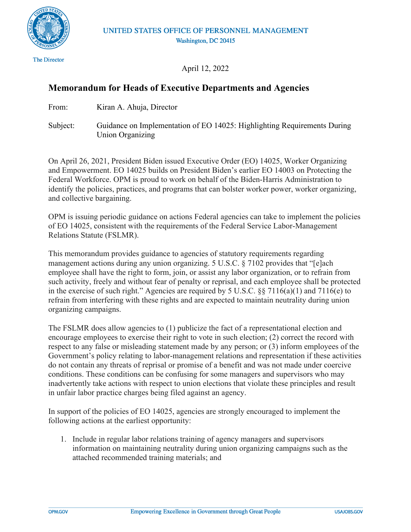

**The Director** 

April 12, 2022

### **Memorandum for Heads of Executive Departments and Agencies**

From: Kiran A. Ahuja, Director

Subject: Guidance on Implementation of EO 14025: Highlighting Requirements During Union Organizing

On April 26, 2021, President Biden issued Executive Order (EO) 14025, Worker Organizing and Empowerment. EO 14025 builds on President Biden's earlier EO 14003 on Protecting the Federal Workforce. OPM is proud to work on behalf of the Biden-Harris Administration to identify the policies, practices, and programs that can bolster worker power, worker organizing, and collective bargaining.

OPM is issuing periodic guidance on actions Federal agencies can take to implement the policies of EO 14025, consistent with the requirements of the Federal Service Labor-Management Relations Statute (FSLMR).

This memorandum provides guidance to agencies of statutory requirements regarding management actions during any union organizing. 5 U.S.C. § 7102 provides that "[e]ach employee shall have the right to form, join, or assist any labor organization, or to refrain from such activity, freely and without fear of penalty or reprisal, and each employee shall be protected in the exercise of such right." Agencies are required by 5 U.S.C. §§ 7116(a)(1) and 7116(e) to refrain from interfering with these rights and are expected to maintain neutrality during union organizing campaigns.

The FSLMR does allow agencies to (1) publicize the fact of a representational election and encourage employees to exercise their right to vote in such election; (2) correct the record with respect to any false or misleading statement made by any person; or (3) inform employees of the Government's policy relating to labor-management relations and representation if these activities do not contain any threats of reprisal or promise of a benefit and was not made under coercive conditions. These conditions can be confusing for some managers and supervisors who may inadvertently take actions with respect to union elections that violate these principles and result in unfair labor practice charges being filed against an agency.

In support of the policies of EO 14025, agencies are strongly encouraged to implement the following actions at the earliest opportunity:

1. Include in regular labor relations training of agency managers and supervisors information on maintaining neutrality during union organizing campaigns such as the attached recommended training materials; and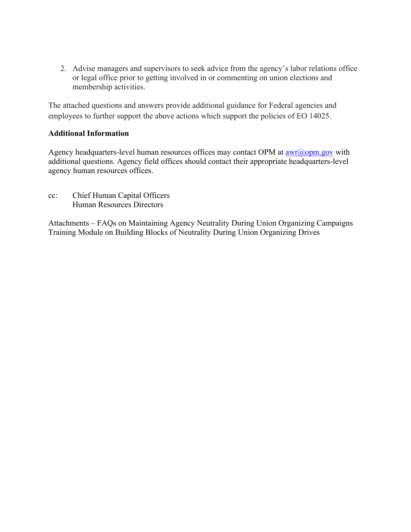2. Advise managers and supervisors to seek advice from the agency's labor relations office or legal office prior to getting involved in or commenting on union elections and membership activities.

The attached questions and answers provide additional guidance for Federal agencies and employees to further support the above actions which support the policies of EO 14025.

#### **Additional Information**

Agency headquarters-level human resources offices may contact OPM at  $\frac{awr(\partial_{\theta}^{\theta} g)}{a}$  with additional questions. Agency field offices should contact their appropriate headquarters-level agency human resources offices.

cc: Chief Human Capital Officers Human Resources Directors

Attachments – FAQs on Maintaining Agency Neutrality During Union Organizing Campaigns Training Module on Building Blocks of Neutrality During Union Organizing Drives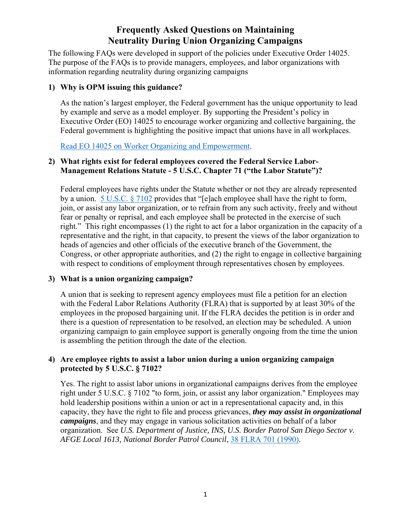### **Frequently Asked Questions on Maintaining Neutrality During Union Organizing Campaigns**

The following FAQs were developed in support of the policies under Executive Order 14025. The purpose of the FAQs is to provide managers, employees, and labor organizations with information regarding neutrality during organizing campaigns

#### **1) Why is OPM issuing this guidance?**

As the nation's largest employer, the Federal government has the unique opportunity to lead by example and serve as a model employer. By supporting the President's policy in Executive Order (EO) 14025 to encourage worker organizing and collective bargaining, the Federal government is highlighting the positive impact that unions have in all workplaces.

[Read EO 14025 on Worker Organizing and Empowerment.](https://www.govinfo.gov/content/pkg/FR-2021-04-29/pdf/2021-09213.pdf)

#### **2) What rights exist for federal employees covered the Federal Service Labor-Management Relations Statute - 5 U.S.C. Chapter 71 ("the Labor Statute")?**

Federal employees have rights under the Statute whether or not they are already represented by a union. [5 U.S.C. § 7102](https://www.flra.gov/resources-training/resources/statute-and-regulations/statute/statute-subchapter-i-general-1) provides that "[e]ach employee shall have the right to form, join, or assist any labor organization, or to refrain from any such activity, freely and without fear or penalty or reprisal, and each employee shall be protected in the exercise of such right." This right encompasses (1) the right to act for a labor organization in the capacity of a representative and the right, in that capacity, to present the views of the labor organization to heads of agencies and other officials of the executive branch of the Government, the Congress, or other appropriate authorities, and (2) the right to engage in collective bargaining with respect to conditions of employment through representatives chosen by employees.

#### **3) What is a union organizing campaign?**

A union that is seeking to represent agency employees must file a petition for an election with the Federal Labor Relations Authority (FLRA) that is supported by at least 30% of the employees in the proposed bargaining unit. If the FLRA decides the petition is in order and there is a question of representation to be resolved, an election may be scheduled. A union organizing campaign to gain employee support is generally ongoing from the time the union is assembling the petition through the date of the election.

#### **4) Are employee rights to assist a labor union during a union organizing campaign protected by 5 U.S.C. § 7102?**

Yes. The right to assist labor unions in organizational campaigns derives from the employee right under 5 U.S.C. § 7102 "to form, join, or assist any labor organization." Employees may hold leadership positions within a union or act in a representational capacity and, in this capacity, they have the right to file and process grievances, *they may assist in organizational campaigns*, and they may engage in various solicitation activities on behalf of a labor organization. See *U.S. Department of Justice, INS, U.S. Border Patrol San Diego Sector v. AFGE Local 1613, National Border Patrol Council*, [38 FLRA 701 \(1990\).](https://www.flra.gov/decisions/v38/38-063.html)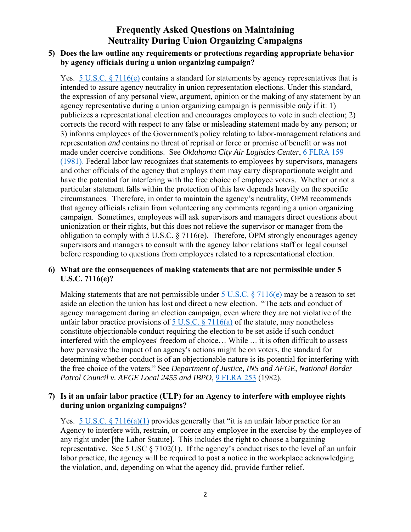### **Frequently Asked Questions on Maintaining Neutrality During Union Organizing Campaigns**

#### **5) Does the law outline any requirements or protections regarding appropriate behavior by agency officials during a union organizing campaign?**

Yes. [5 U.S.C. § 7116\(e\)](https://www.flra.gov/resources-training/resources/statute-and-regulations/statute/statute-subchapter-ii-rights-and-5) contains a standard for statements by agency representatives that is intended to assure agency neutrality in union representation elections. Under this standard, the expression of any personal view, argument, opinion or the making of any statement by an agency representative during a union organizing campaign is permissible *only* if it: 1) publicizes a representational election and encourages employees to vote in such election; 2) corrects the record with respect to any false or misleading statement made by any person; or 3) informs employees of the Government's policy relating to labor-management relations and representation *and* contains no threat of reprisal or force or promise of benefit or was not made under coercive conditions. See *Oklahoma City Air Logistics Center*, [6 FLRA 159](https://www.flra.gov/decisions/v06/06-032.html)  [\(1981\).](https://www.flra.gov/decisions/v06/06-032.html) Federal labor law recognizes that statements to employees by supervisors, managers and other officials of the agency that employs them may carry disproportionate weight and have the potential for interfering with the free choice of employee voters. Whether or not a particular statement falls within the protection of this law depends heavily on the specific circumstances. Therefore, in order to maintain the agency's neutrality, OPM recommends that agency officials refrain from volunteering any comments regarding a union organizing campaign. Sometimes, employees will ask supervisors and managers direct questions about unionization or their rights, but this does not relieve the supervisor or manager from the obligation to comply with 5 U.S.C.  $\S 7116(e)$ . Therefore, OPM strongly encourages agency supervisors and managers to consult with the agency labor relations staff or legal counsel before responding to questions from employees related to a representational election.

#### **6) What are the consequences of making statements that are not permissible under 5 U.S.C. 7116(e)?**

Making statements that are not permissible under  $5$  U.S.C. § 7116(e) may be a reason to set aside an election the union has lost and direct a new election. "The acts and conduct of agency management during an election campaign, even where they are not violative of the unfair labor practice provisions of 5 U.S.C.  $\S 7116(a)$  of the statute, may nonetheless constitute objectionable conduct requiring the election to be set aside if such conduct interfered with the employees' freedom of choice… While … it is often difficult to assess how pervasive the impact of an agency's actions might be on voters, the standard for determining whether conduct is of an objectionable nature is its potential for interfering with the free choice of the voters." See *Department of Justice, INS and AFGE, National Border Patrol Council v. AFGE Local 2455 and IBPO*, [9 FLRA 253](https://www.flra.gov/decisions/v09/09-036.html) (1982).

#### **7) Is it an unfair labor practice (ULP) for an Agency to interfere with employee rights during union organizing campaigns?**

Yes.  $5 \text{ U.S.C.}$  § 7116(a)(1) provides generally that "it is an unfair labor practice for an Agency to interfere with, restrain, or coerce any employee in the exercise by the employee of any right under [the Labor Statute]. This includes the right to choose a bargaining representative. See 5 USC  $\S 7102(1)$ . If the agency's conduct rises to the level of an unfair labor practice, the agency will be required to post a notice in the workplace acknowledging the violation, and, depending on what the agency did, provide further relief.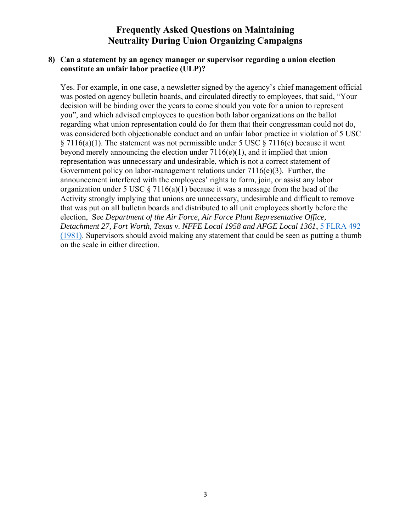### **Frequently Asked Questions on Maintaining Neutrality During Union Organizing Campaigns**

#### **8) Can a statement by an agency manager or supervisor regarding a union election constitute an unfair labor practice (ULP)?**

Yes. For example, in one case, a newsletter signed by the agency's chief management official was posted on agency bulletin boards, and circulated directly to employees, that said, "Your decision will be binding over the years to come should you vote for a union to represent you", and which advised employees to question both labor organizations on the ballot regarding what union representation could do for them that their congressman could not do, was considered both objectionable conduct and an unfair labor practice in violation of 5 USC  $\S 7116(a)(1)$ . The statement was not permissible under 5 USC  $\S 7116(e)$  because it went beyond merely announcing the election under 7116(e)(1), and it implied that union representation was unnecessary and undesirable, which is not a correct statement of Government policy on labor-management relations under 7116(e)(3). Further, the announcement interfered with the employees' rights to form, join, or assist any labor organization under 5 USC  $\S 7116(a)(1)$  because it was a message from the head of the Activity strongly implying that unions are unnecessary, undesirable and difficult to remove that was put on all bulletin boards and distributed to all unit employees shortly before the election, See *Department of the Air Force, Air Force Plant Representative Office, Detachment 27, Fort Worth, Texas v. NFFE Local 1958 and AFGE Local 1361*, [5 FLRA 492](https://www.flra.gov/decisions/v05/05-062.html)  [\(1981\).](https://www.flra.gov/decisions/v05/05-062.html) Supervisors should avoid making any statement that could be seen as putting a thumb on the scale in either direction.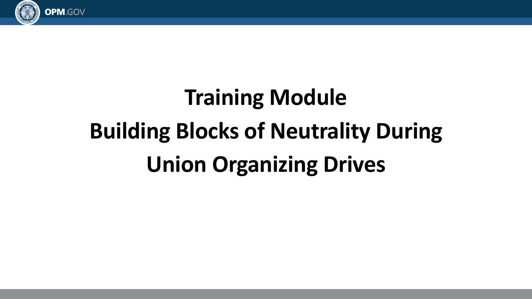

# **Training Module Building Blocks of Neutrality During Union Organizing Drives**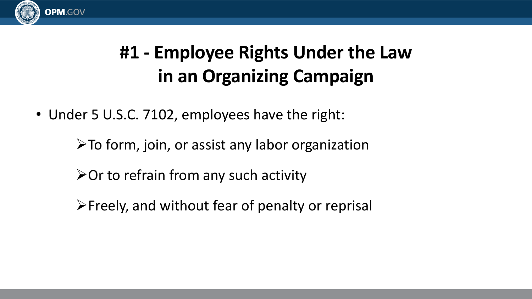

# **#1 - Employee Rights Under the Law in an Organizing Campaign**

• Under 5 U.S.C. 7102, employees have the right:

➢To form, join, or assist any labor organization

➢Or to refrain from any such activity

➢Freely, and without fear of penalty or reprisal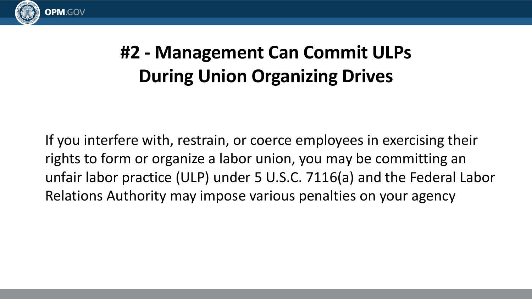

# **#2 - Management Can Commit ULPs During Union Organizing Drives**

If you interfere with, restrain, or coerce employees in exercising their rights to form or organize a labor union, you may be committing an unfair labor practice (ULP) under 5 U.S.C. 7116(a) and the Federal Labor Relations Authority may impose various penalties on your agency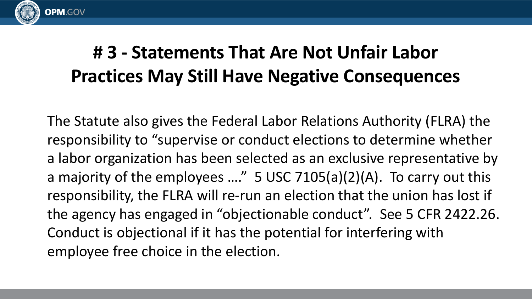

## **# 3 - Statements That Are Not Unfair Labor Practices May Still Have Negative Consequences**

The Statute also gives the Federal Labor Relations Authority (FLRA) the responsibility to "supervise or conduct elections to determine whether a labor organization has been selected as an exclusive representative by a majority of the employees ...."  $5$  USC 7105(a)(2)(A). To carry out this responsibility, the FLRA will re-run an election that the union has lost if the agency has engaged in "objectionable conduct". See 5 CFR 2422.26. Conduct is objectional if it has the potential for interfering with employee free choice in the election.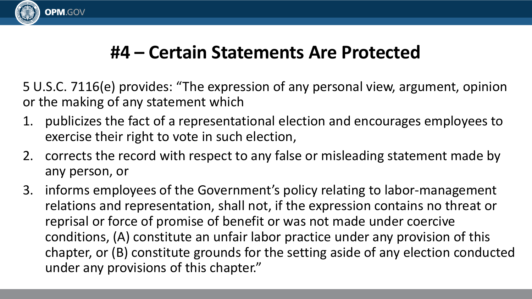

### **#4 – Certain Statements Are Protected**

5 U.S.C. 7116(e) provides: "The expression of any personal view, argument, opinion or the making of any statement which

- 1. publicizes the fact of a representational election and encourages employees to exercise their right to vote in such election,
- 2. corrects the record with respect to any false or misleading statement made by any person, or
- 3. informs employees of the Government's policy relating to labor-management relations and representation, shall not, if the expression contains no threat or reprisal or force of promise of benefit or was not made under coercive conditions, (A) constitute an unfair labor practice under any provision of this chapter, or (B) constitute grounds for the setting aside of any election conducted under any provisions of this chapter."